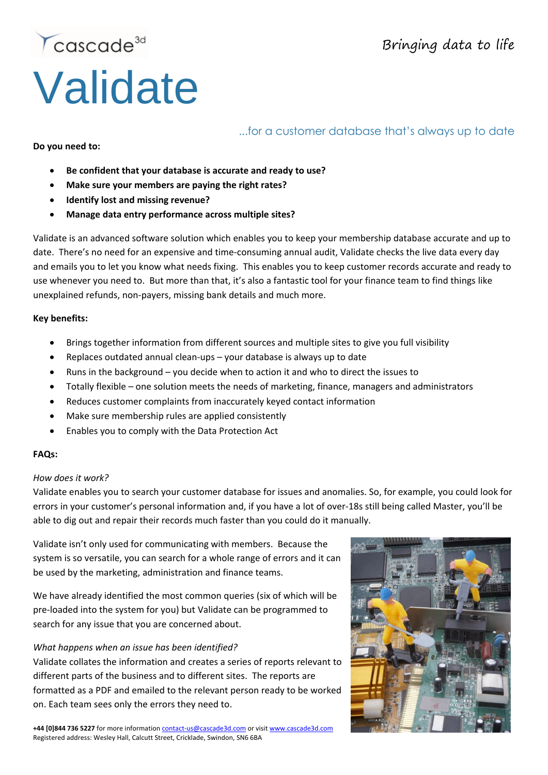# Cascade<sup>3d</sup> **Validate**

## Bringing data to life

### ...for a customer database that's always up to date

#### **Do you need to:**

- **Be confident that your database is accurate and ready to use?**
- **Make sure your members are paying the right rates?**
- **Identify lost and missing revenue?**
- **Manage data entry performance across multiple sites?**

Validate is an advanced software solution which enables you to keep your membership database accurate and up to date. There's no need for an expensive and time-consuming annual audit, Validate checks the live data every day and emails you to let you know what needs fixing. This enables you to keep customer records accurate and ready to use whenever you need to. But more than that, it's also a fantastic tool for your finance team to find things like unexplained refunds, non-payers, missing bank details and much more.

#### **Key benefits:**

- Brings together information from different sources and multiple sites to give you full visibility
- Replaces outdated annual clean-ups your database is always up to date
- Runs in the background you decide when to action it and who to direct the issues to
- Totally flexible one solution meets the needs of marketing, finance, managers and administrators
- Reduces customer complaints from inaccurately keyed contact information
- Make sure membership rules are applied consistently
- Enables you to comply with the Data Protection Act

#### **FAQs:**

#### *How does it work?*

Validate enables you to search your customer database for issues and anomalies. So, for example, you could look for errors in your customer's personal information and, if you have a lot of over-18s still being called Master, you'll be able to dig out and repair their records much faster than you could do it manually.

Validate isn't only used for communicating with members. Because the system is so versatile, you can search for a whole range of errors and it can be used by the marketing, administration and finance teams.

We have already identified the most common queries (six of which will be pre-loaded into the system for you) but Validate can be programmed to search for any issue that you are concerned about.

#### *What happens when an issue has been identified?*

Validate collates the information and creates a series of reports relevant to different parts of the business and to different sites. The reports are formatted as a PDF and emailed to the relevant person ready to be worked on. Each team sees only the errors they need to.

**+44 [0]844 736 5227** for more information [contact-us@cascade3d.com](mailto:contact-us@cascade3d.com) or visi[t www.cascade3d.com](http://www.cascade3d.com/) Registered address: Wesley Hall, Calcutt Street, Cricklade, Swindon, SN6 6BA